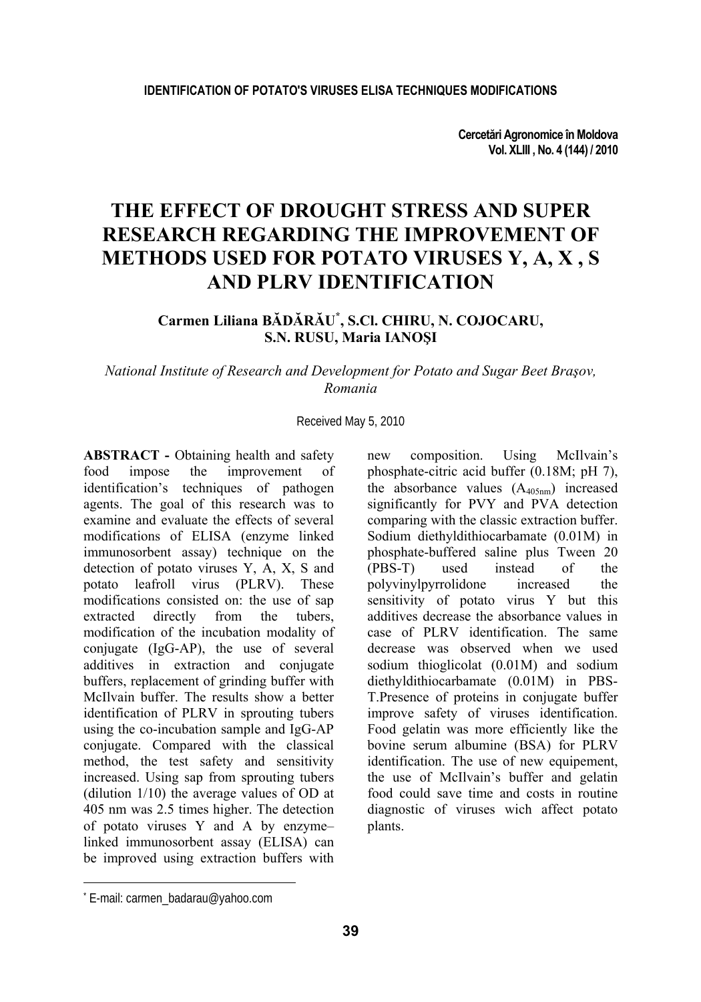**Cercetări Agronomice în Moldova Vol. XLIII , No. 4 (144) / 2010** 

# **THE EFFECT OF DROUGHT STRESS AND SUPER RESEARCH REGARDING THE IMPROVEMENT OF METHODS USED FOR POTATO VIRUSES Y, A, X , S AND PLRV IDENTIFICATION**

# **Carmen Liliana BĂDĂRĂU\* , S.Cl. CHIRU, N. COJOCARU, S.N. RUSU, Maria IANOŞI**

### *National Institute of Research and Development for Potato and Sugar Beet Braşov, Romania*

### Received May 5, 2010

**ABSTRACT -** Obtaining health and safety food impose the improvement of identification's techniques of pathogen agents. The goal of this research was to examine and evaluate the effects of several modifications of ELISA (enzyme linked immunosorbent assay) technique on the detection of potato viruses Y, A, X, S and potato leafroll virus (PLRV). These modifications consisted on: the use of sap extracted directly from the tubers, modification of the incubation modality of conjugate (IgG-AP), the use of several additives in extraction and conjugate buffers, replacement of grinding buffer with McIlvain buffer. The results show a better identification of PLRV in sprouting tubers using the co-incubation sample and IgG-AP conjugate. Compared with the classical method, the test safety and sensitivity increased. Using sap from sprouting tubers (dilution 1/10) the average values of OD at 405 nm was 2.5 times higher. The detection of potato viruses Y and A by enzyme– linked immunosorbent assay (ELISA) can be improved using extraction buffers with

new composition. Using McIlvain's phosphate-citric acid buffer (0.18M; pH 7), the absorbance values  $(A_{405nm})$  increased significantly for PVY and PVA detection comparing with the classic extraction buffer. Sodium diethyldithiocarbamate (0.01M) in phosphate-buffered saline plus Tween 20<br>(PBS-T) used instead of the (PBS-T) used instead of the polyvinylpyrrolidone increased the sensitivity of potato virus Y but this additives decrease the absorbance values in case of PLRV identification. The same decrease was observed when we used sodium thioglicolat (0.01M) and sodium diethyldithiocarbamate (0.01M) in PBS-T.Presence of proteins in conjugate buffer improve safety of viruses identification. Food gelatin was more efficiently like the bovine serum albumine (BSA) for PLRV identification. The use of new equipement, the use of McIlvain's buffer and gelatin food could save time and costs in routine diagnostic of viruses wich affect potato plants.

l

<sup>\*</sup> E-mail: carmen\_badarau@yahoo.com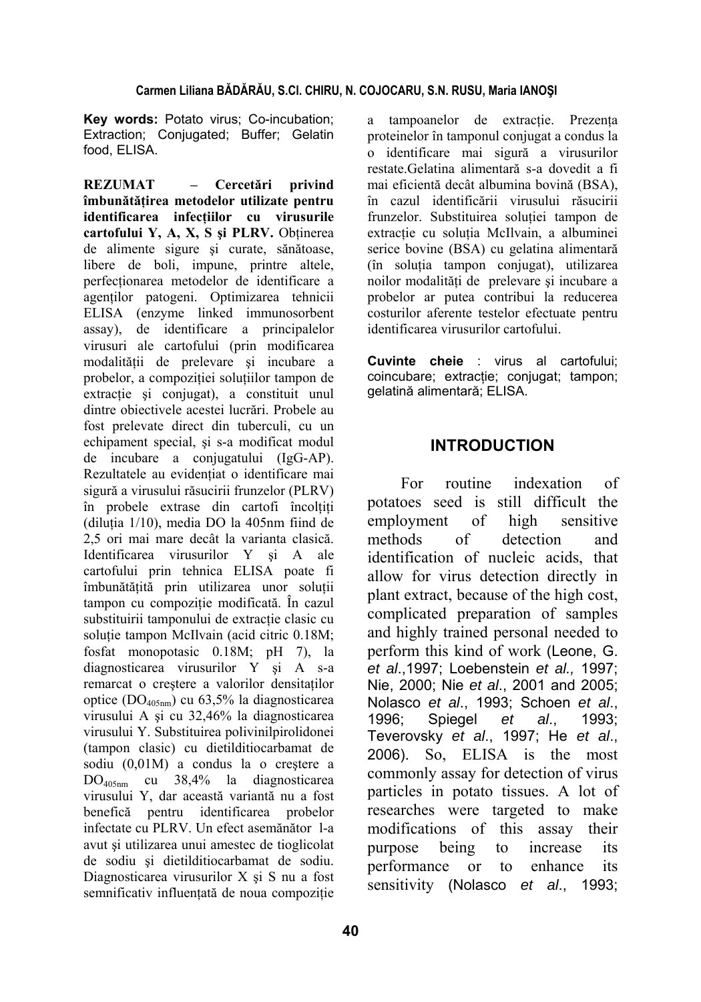**Key words:** Potato virus; Co-incubation; Extraction; Conjugated; Buffer; Gelatin food, ELISA.

**REZUMAT – Cercetări privind îmbunătăţirea metodelor utilizate pentru identificarea infecţiilor cu virusurile cartofului Y, A, X, S şi PLRV.** Obţinerea de alimente sigure şi curate, sănătoase, libere de boli, impune, printre altele, perfectionarea metodelor de identificare a agenților patogeni. Optimizarea tehnicii ELISA (enzyme linked immunosorbent assay), de identificare a principalelor virusuri ale cartofului (prin modificarea modalităţii de prelevare şi incubare a probelor, a compoziției soluțiilor tampon de extracție și conjugat), a constituit unul dintre obiectivele acestei lucrări. Probele au fost prelevate direct din tuberculi, cu un echipament special, şi s-a modificat modul de incubare a conjugatului (IgG-AP). Rezultatele au evidentiat o identificare mai sigură a virusului răsucirii frunzelor (PLRV) în probele extrase din cartofi încolţiţi (diluţia 1/10), media DO la 405nm fiind de 2,5 ori mai mare decât la varianta clasică. Identificarea virusurilor Y şi A ale cartofului prin tehnica ELISA poate fi îmbunătătită prin utilizarea unor solutii tampon cu compoziție modificată. În cazul substituirii tamponului de extracție clasic cu soluție tampon McIlvain (acid citric 0.18M; fosfat monopotasic 0.18M; pH 7), la diagnosticarea virusurilor Y si A s-a remarcat o creştere a valorilor densitaţilor optice (DO405nm) cu 63,5% la diagnosticarea virusului A şi cu 32,46% la diagnosticarea virusului Y. Substituirea polivinilpirolidonei (tampon clasic) cu dietilditiocarbamat de sodiu (0,01M) a condus la o crestere a DO405nm cu 38,4% la diagnosticarea virusului Y, dar această variantă nu a fost benefică pentru identificarea probelor infectate cu PLRV. Un efect asemănător l-a avut și utilizarea unui amestec de tioglicolat de sodiu şi dietilditiocarbamat de sodiu. Diagnosticarea virusurilor X şi S nu a fost semnificativ influențată de noua compozitie a tampoanelor de extracție. Prezența proteinelor în tamponul conjugat a condus la o identificare mai sigură a virusurilor restate.Gelatina alimentară s-a dovedit a fi mai eficientă decât albumina bovină (BSA), în cazul identificării virusului răsucirii frunzelor. Substituirea solutiei tampon de extracție cu soluția McIlvain, a albuminei serice bovine (BSA) cu gelatina alimentară (în soluţia tampon conjugat), utilizarea noilor modalităţi de prelevare şi incubare a probelor ar putea contribui la reducerea costurilor aferente testelor efectuate pentru identificarea virusurilor cartofului.

**Cuvinte cheie** : virus al cartofului; coincubare; extracție; conjugat; tampon; gelatină alimentară; ELISA.

# **INTRODUCTION**

For routine indexation of potatoes seed is still difficult the employment of high sensitive methods of detection and identification of nucleic acids, that allow for virus detection directly in plant extract, because of the high cost, complicated preparation of samples and highly trained personal needed to perform this kind of work (Leone, G. *et al*.,1997; Loebenstein *et al.,* 1997; Nie, 2000; Nie *et al*., 2001 and 2005; Nolasco *et al*., 1993; Schoen *et al*., 1996; Spiegel *et al*., 1993; Teverovsky *et al*., 1997; He *et al*., 2006). So, ELISA is the most commonly assay for detection of virus particles in potato tissues. A lot of researches were targeted to make modifications of this assay their purpose being to increase its performance or to enhance its sensitivity (Nolasco *et al*., 1993;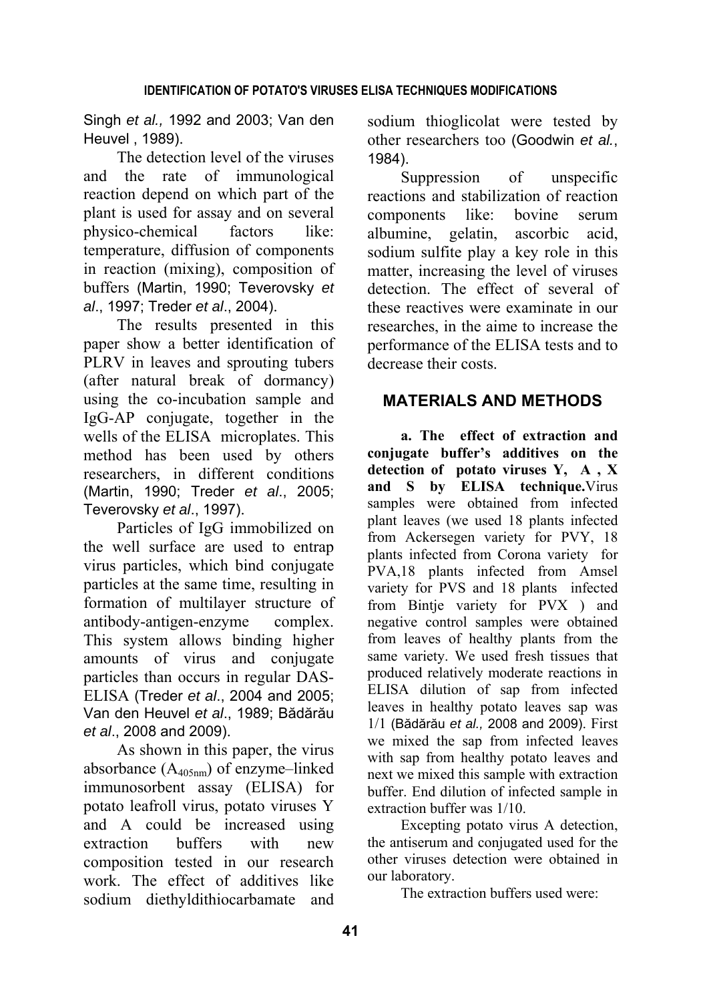Singh *et al.,* 1992 and 2003; Van den Heuvel , 1989).

The detection level of the viruses and the rate of immunological reaction depend on which part of the plant is used for assay and on several physico-chemical factors like: temperature, diffusion of components in reaction (mixing), composition of buffers (Martin, 1990; Teverovsky *et al*., 1997; Treder *et al*., 2004).

The results presented in this paper show a better identification of PLRV in leaves and sprouting tubers (after natural break of dormancy) using the co-incubation sample and IgG-AP conjugate, together in the wells of the ELISA microplates. This method has been used by others researchers, in different conditions (Martin, 1990; Treder *et al*., 2005; Teverovsky *et al*., 1997).

Particles of IgG immobilized on the well surface are used to entrap virus particles, which bind conjugate particles at the same time, resulting in formation of multilayer structure of antibody-antigen-enzyme complex. This system allows binding higher amounts of virus and conjugate particles than occurs in regular DAS-ELISA (Treder *et al*., 2004 and 2005; Van den Heuvel *et al*., 1989; Bădărău *et al*., 2008 and 2009).

As shown in this paper, the virus absorbance (A405nm) of enzyme–linked immunosorbent assay (ELISA) for potato leafroll virus, potato viruses Y and A could be increased using extraction buffers with new composition tested in our research work. The effect of additives like sodium diethyldithiocarbamate and sodium thioglicolat were tested by other researchers too (Goodwin *et al.*, 1984).

Suppression of unspecific reactions and stabilization of reaction components like: bovine serum albumine, gelatin, ascorbic acid, sodium sulfite play a key role in this matter, increasing the level of viruses detection. The effect of several of these reactives were examinate in our researches, in the aime to increase the performance of the ELISA tests and to decrease their costs.

# **MATERIALS AND METHODS**

**a. The effect of extraction and conjugate buffer's additives on the detection of potato viruses Y, A , X and S by ELISA technique.**Virus samples were obtained from infected plant leaves (we used 18 plants infected from Ackersegen variety for PVY, 18 plants infected from Corona variety for PVA,18 plants infected from Amsel variety for PVS and 18 plants infected from Bintje variety for PVX ) and negative control samples were obtained from leaves of healthy plants from the same variety. We used fresh tissues that produced relatively moderate reactions in ELISA dilution of sap from infected leaves in healthy potato leaves sap was 1/1 (Bădărău *et al.,* 2008 and 2009). First we mixed the sap from infected leaves with sap from healthy potato leaves and next we mixed this sample with extraction buffer. End dilution of infected sample in extraction buffer was 1/10.

Excepting potato virus A detection, the antiserum and conjugated used for the other viruses detection were obtained in our laboratory.

The extraction buffers used were: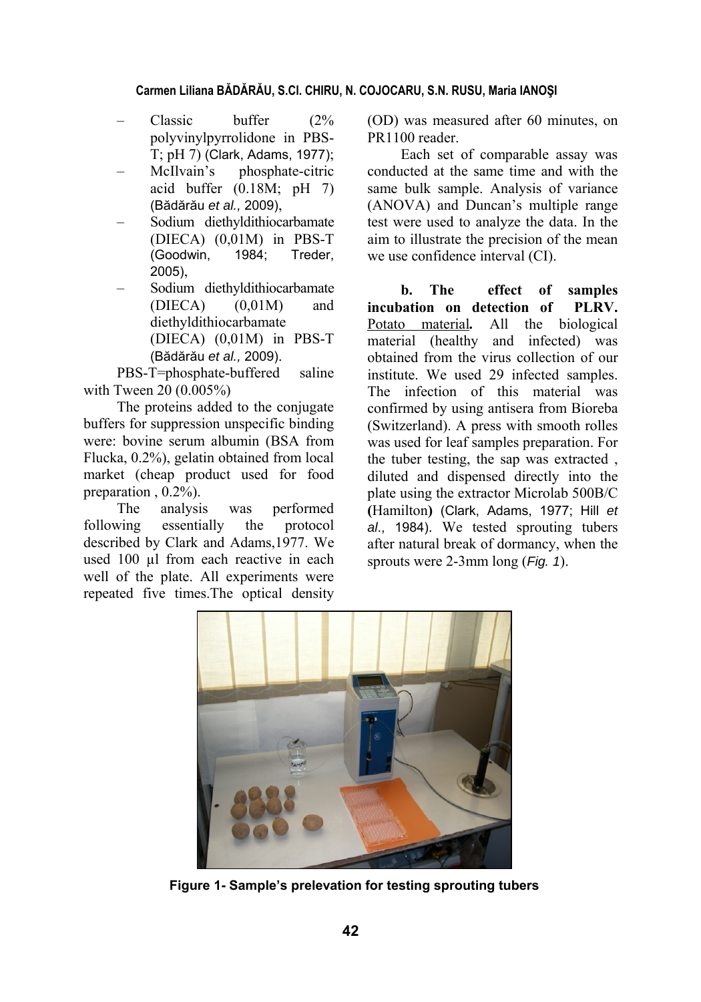- Classic buffer  $(2\%$ polyvinylpyrrolidone in PBS-T; pH 7) (Clark, Adams, 1977);
- McIlvain's phosphate-citric acid buffer  $(0.18M; pH 7)$ (Bădărău *et al.,* 2009),
- Sodium diethyldithiocarbamate (DIECA) (0,01M) in PBS-T (Goodwin, 1984; Treder, 2005),
- Sodium diethyldithiocarbamate  $(DIECA)$   $(0,01M)$  and diethyldithiocarbamate (DIECA) (0,01M) in PBS-T (Bădărău *et al.,* 2009).

PBS-T=phosphate-buffered saline with Tween 20 (0.005%)

The proteins added to the conjugate buffers for suppression unspecific binding were: bovine serum albumin (BSA from Flucka, 0.2%), gelatin obtained from local market (cheap product used for food preparation , 0.2%).

The analysis was performed following essentially the protocol described by Clark and Adams,1977. We used 100 µl from each reactive in each well of the plate. All experiments were repeated five times.The optical density

(OD) was measured after 60 minutes, on PR<sub>1100</sub> reader

Each set of comparable assay was conducted at the same time and with the same bulk sample. Analysis of variance (ANOVA) and Duncan's multiple range test were used to analyze the data. In the aim to illustrate the precision of the mean we use confidence interval (CI).

**b. The effect of samples incubation on detection of PLRV.**  Potato material*.* All the biological material (healthy and infected) was obtained from the virus collection of our institute. We used 29 infected samples. The infection of this material was confirmed by using antisera from Bioreba (Switzerland). A press with smooth rolles was used for leaf samples preparation. For the tuber testing, the sap was extracted , diluted and dispensed directly into the plate using the extractor Microlab 500B/C **(**Hamilton**)** (Clark, Adams, 1977; Hill *et al*., 1984). We tested sprouting tubers after natural break of dormancy, when the sprouts were 2-3mm long (*Fig. 1*).



**Figure 1- Sample's prelevation for testing sprouting tubers**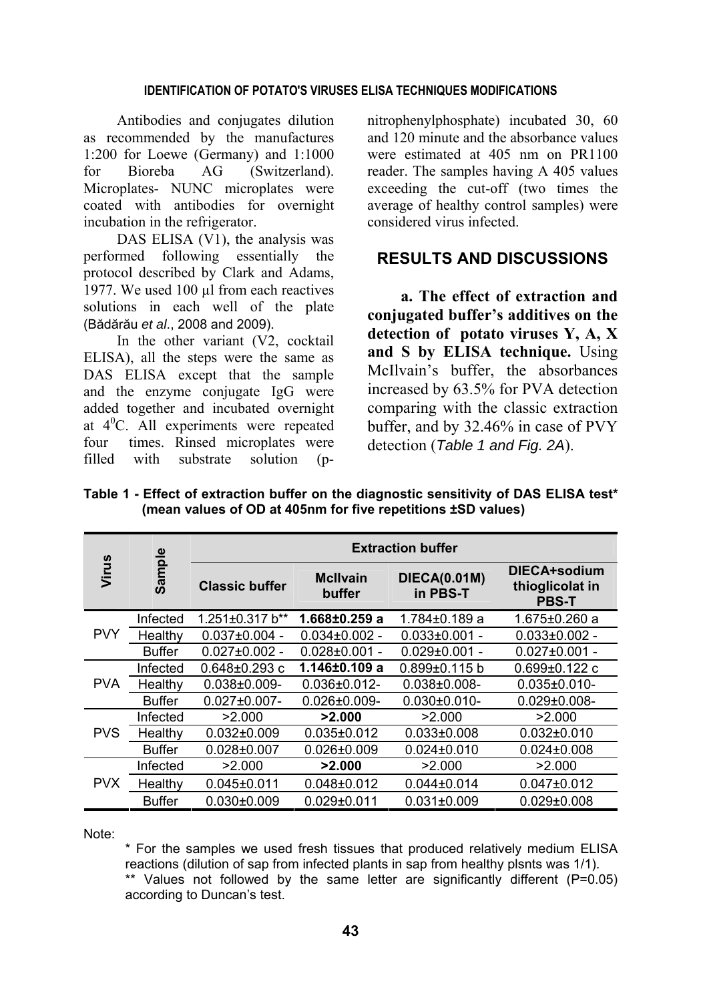### **IDENTIFICATION OF POTATO'S VIRUSES ELISA TECHNIQUES MODIFICATIONS**

Antibodies and conjugates dilution as recommended by the manufactures 1:200 for Loewe (Germany) and 1:1000 for Bioreba AG (Switzerland). Microplates- NUNC microplates were coated with antibodies for overnight incubation in the refrigerator.

DAS ELISA (V1), the analysis was performed following essentially the protocol described by Clark and Adams, 1977. We used 100 ul from each reactives solutions in each well of the plate (Bădărău *et al*., 2008 and 2009).

In the other variant (V2, cocktail ELISA), all the steps were the same as DAS ELISA except that the sample and the enzyme conjugate IgG were added together and incubated overnight at 4<sup>0</sup> C. All experiments were repeated four times. Rinsed microplates were<br>filled with substrate solution (pwith substrate solution (pnitrophenylphosphate) incubated 30, 60 and 120 minute and the absorbance values were estimated at 405 nm on PR1100 reader. The samples having A 405 values exceeding the cut-off (two times the average of healthy control samples) were considered virus infected.

# **RESULTS AND DISCUSSIONS**

**a. The effect of extraction and conjugated buffer's additives on the detection of potato viruses Y, A, X and S by ELISA technique.** Using McIlvain's buffer, the absorbances increased by 63.5% for PVA detection comparing with the classic extraction buffer, and by 32.46% in case of PVY detection (*Table 1 and Fig. 2A*).

|            | Sample        | <b>Extraction buffer</b> |                           |                                 |                                                 |  |  |  |
|------------|---------------|--------------------------|---------------------------|---------------------------------|-------------------------------------------------|--|--|--|
| Virus      |               | <b>Classic buffer</b>    | <b>McIlvain</b><br>buffer | <b>DIECA(0.01M)</b><br>in PBS-T | DIECA+sodium<br>thioglicolat in<br><b>PBS-T</b> |  |  |  |
| <b>PVY</b> | Infected      | 1.251±0.317 b**          | 1.668±0.259 a             | 1.784±0.189 a                   | $1.675 \pm 0.260$ a                             |  |  |  |
|            | Healthy       | $0.037 \pm 0.004$ -      | $0.034\pm0.002$ -         | $0.033\pm0.001$ -               | $0.033 \pm 0.002$ -                             |  |  |  |
|            | <b>Buffer</b> | $0.027 \pm 0.002$ -      | $0.028 \pm 0.001 -$       | $0.029 \pm 0.001$ -             | $0.027 \pm 0.001$ -                             |  |  |  |
| PVA.       | Infected      | $0.648 \pm 0.293$ c      | $1.146 \pm 0.109$ a       | $0.899 \pm 0.115$ b             | $0.699 \pm 0.122$ c                             |  |  |  |
|            | Healthy       | $0.038 + 0.009 -$        | $0.036 \pm 0.012$ -       | $0.038 + 0.008 -$               | $0.035 \pm 0.010 -$                             |  |  |  |
|            | <b>Buffer</b> | $0.027 \pm 0.007 -$      | $0.026 \pm 0.009 -$       | $0.030\pm0.010$ -               | $0.029 \pm 0.008 -$                             |  |  |  |
|            | Infected      | >2.000                   | >2.000                    | >2.000                          | >2.000                                          |  |  |  |
| <b>PVS</b> | Healthy       | $0.032 \pm 0.009$        | $0.035 \pm 0.012$         | $0.033 \pm 0.008$               | $0.032\pm0.010$                                 |  |  |  |
|            | <b>Buffer</b> | $0.028 + 0.007$          | $0.026 \pm 0.009$         | $0.024 \pm 0.010$               | $0.024 \pm 0.008$                               |  |  |  |
| <b>PVX</b> | Infected      | >2.000                   | >2.000                    | >2.000                          | >2.000                                          |  |  |  |
|            | Healthy       | $0.045 \pm 0.011$        | $0.048 \pm 0.012$         | $0.044 \pm 0.014$               | $0.047 \pm 0.012$                               |  |  |  |
|            | <b>Buffer</b> | $0.030 + 0.009$          | $0.029 \pm 0.011$         | $0.031 \pm 0.009$               | $0.029 \pm 0.008$                               |  |  |  |

**Table 1 - Effect of extraction buffer on the diagnostic sensitivity of DAS ELISA test\* (mean values of OD at 405nm for five repetitions ±SD values)** 

Note:

\* For the samples we used fresh tissues that produced relatively medium ELISA reactions (dilution of sap from infected plants in sap from healthy plsnts was 1/1). \*\* Values not followed by the same letter are significantly different (P=0.05) according to Duncan's test.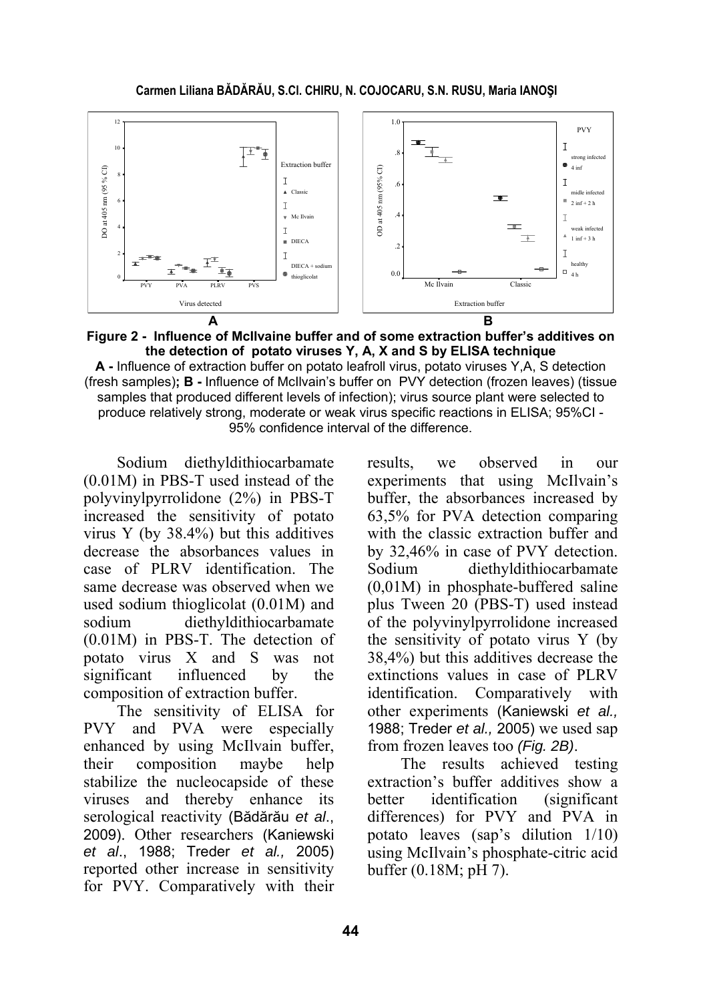

**Figure 2 - Influence of McIlvaine buffer and of some extraction buffer's additives on the detection of potato viruses Y, A, X and S by ELISA technique** 

**A -** Influence of extraction buffer on potato leafroll virus, potato viruses Y,A, S detection (fresh samples)**; B -** Influence of McIlvain's buffer on PVY detection (frozen leaves) (tissue samples that produced different levels of infection); virus source plant were selected to produce relatively strong, moderate or weak virus specific reactions in ELISA; 95%CI - 95% confidence interval of the difference.

Sodium diethyldithiocarbamate (0.01M) in PBS-T used instead of the polyvinylpyrrolidone (2%) in PBS-T increased the sensitivity of potato virus Y (by 38.4%) but this additives decrease the absorbances values in case of PLRV identification. The same decrease was observed when we used sodium thioglicolat (0.01M) and sodium diethyldithiocarbamate (0.01M) in PBS-T. The detection of potato virus X and S was not significant influenced by the composition of extraction buffer.

The sensitivity of ELISA for PVY and PVA were especially enhanced by using McIlvain buffer, their composition maybe help stabilize the nucleocapside of these viruses and thereby enhance its serological reactivity (Bădărău *et al*., 2009). Other researchers (Kaniewski *et al*., 1988; Treder *et al.,* 2005) reported other increase in sensitivity for PVY. Comparatively with their

results, we observed in our experiments that using McIlvain's buffer, the absorbances increased by 63,5% for PVA detection comparing with the classic extraction buffer and by 32,46% in case of PVY detection. Sodium diethyldithiocarbamate (0,01M) in phosphate-buffered saline plus Tween 20 (PBS-T) used instead of the polyvinylpyrrolidone increased the sensitivity of potato virus Y (by 38,4%) but this additives decrease the extinctions values in case of PLRV identification. Comparatively with other experiments (Kaniewski *et al.,* 1988; Treder *et al.,* 2005) we used sap from frozen leaves too *(Fig. 2B)*.

The results achieved testing extraction's buffer additives show a better identification (significant differences) for PVY and PVA in potato leaves (sap's dilution 1/10) using McIlvain's phosphate-citric acid buffer (0.18M; pH 7).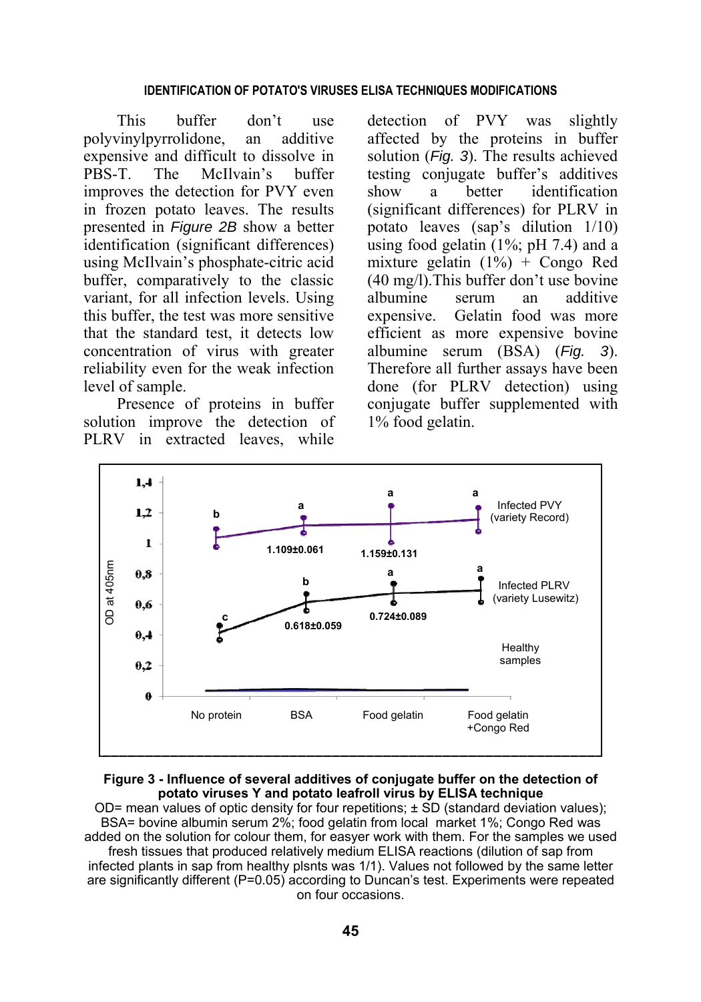#### **IDENTIFICATION OF POTATO'S VIRUSES ELISA TECHNIQUES MODIFICATIONS**

This buffer don't use polyvinylpyrrolidone, an additive expensive and difficult to dissolve in PBS-T. The McIlvain's buffer improves the detection for PVY even in frozen potato leaves. The results presented in *Figure 2B* show a better identification (significant differences) using McIlvain's phosphate-citric acid buffer, comparatively to the classic variant, for all infection levels. Using this buffer, the test was more sensitive that the standard test, it detects low concentration of virus with greater reliability even for the weak infection level of sample.

Presence of proteins in buffer solution improve the detection of PLRV in extracted leaves, while

detection of PVY was slightly affected by the proteins in buffer solution (*Fig. 3*). The results achieved testing conjugate buffer's additives show a better identification (significant differences) for PLRV in potato leaves (sap's dilution 1/10) using food gelatin  $(1\%; pH 7.4)$  and a mixture gelatin  $(1\%)$  + Congo Red (40 mg/l).This buffer don't use bovine albumine serum an additive expensive. Gelatin food was more efficient as more expensive bovine albumine serum (BSA) (*Fig. 3*). Therefore all further assays have been done (for PLRV detection) using conjugate buffer supplemented with 1% food gelatin.



#### **Figure 3 - Influence of several additives of conjugate buffer on the detection of potato viruses Y and potato leafroll virus by ELISA technique**

OD= mean values of optic density for four repetitions;  $\pm$  SD (standard deviation values); BSA= bovine albumin serum 2%; food gelatin from local market 1%; Congo Red was added on the solution for colour them, for easyer work with them. For the samples we used fresh tissues that produced relatively medium ELISA reactions (dilution of sap from infected plants in sap from healthy plsnts was 1/1). Values not followed by the same letter are significantly different (P=0.05) according to Duncan's test. Experiments were repeated on four occasions.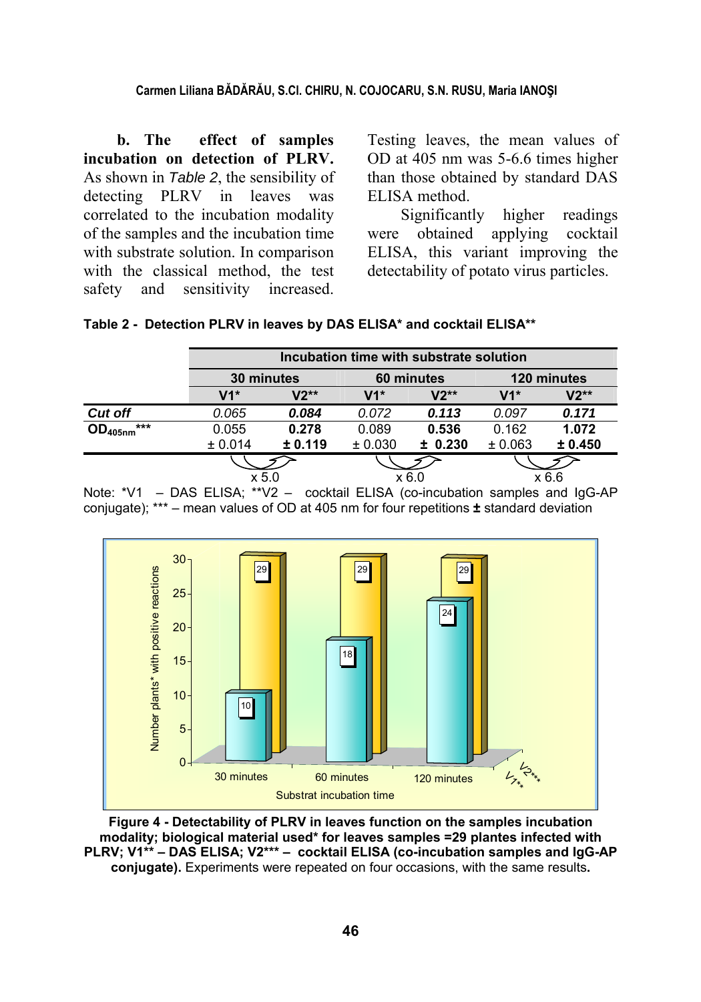**b. The effect of samples incubation on detection of PLRV.**  As shown in *Table 2*, the sensibility of detecting PLRV in leaves was correlated to the incubation modality of the samples and the incubation time with substrate solution. In comparison with the classical method, the test safety and sensitivity increased.

Testing leaves, the mean values of OD at 405 nm was 5-6.6 times higher than those obtained by standard DAS ELISA method.

Significantly higher readings were obtained applying cocktail ELISA, this variant improving the detectability of potato virus particles.

| Table 2 - Detection PLRV in leaves by DAS ELISA* and cocktail ELISA** |  |  |  |  |
|-----------------------------------------------------------------------|--|--|--|--|
|                                                                       |  |  |  |  |

|                     |         | Incubation time with substrate solution |         |            |         |             |  |
|---------------------|---------|-----------------------------------------|---------|------------|---------|-------------|--|
|                     |         | 30 minutes                              |         | 60 minutes |         | 120 minutes |  |
|                     | V1*     | V2**                                    | $V1*$   | $V2**$     | $V1*$   | V2**        |  |
| <b>Cut off</b>      | 0.065   | 0.084                                   | 0.072   | 0.113      | 0.097   | 0.171       |  |
| ***<br>$OD_{405nm}$ | 0.055   | 0.278                                   | 0.089   | 0.536      | 0.162   | 1.072       |  |
|                     | ± 0.014 | ± 0.119                                 | ± 0.030 | ± 0.230    | ± 0.063 | ± 0.450     |  |
|                     |         |                                         |         |            |         |             |  |
|                     |         | x 5.0                                   |         | x 6.0      |         | x 6.6       |  |

Note: \*V1 – DAS ELISA; \*\*V2 – cocktail ELISA (co-incubation samples and IgG-AP conjugate); \*\*\* – mean values of OD at 405 nm for four repetitions **±** standard deviation



**Figure 4 - Detectability of PLRV in leaves function on the samples incubation modality; biological material used\* for leaves samples =29 plantes infected with PLRV; V1\*\* – DAS ELISA; V2\*\*\* – cocktail ELISA (co-incubation samples and IgG-AP conjugate).** Experiments were repeated on four occasions, with the same results**.**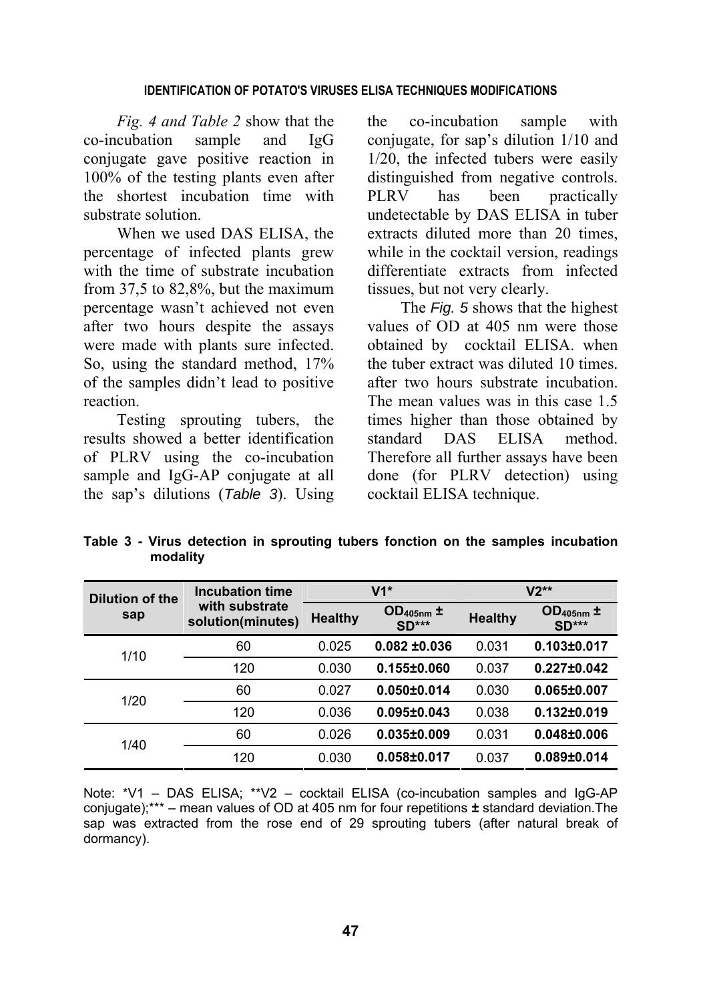### **IDENTIFICATION OF POTATO'S VIRUSES ELISA TECHNIQUES MODIFICATIONS**

*Fig. 4 and Table 2* show that the co-incubation sample and IgG conjugate gave positive reaction in 100% of the testing plants even after the shortest incubation time with substrate solution.

When we used DAS ELISA, the percentage of infected plants grew with the time of substrate incubation from 37,5 to 82,8%, but the maximum percentage wasn't achieved not even after two hours despite the assays were made with plants sure infected. So, using the standard method, 17% of the samples didn't lead to positive reaction.

Testing sprouting tubers, the results showed a better identification of PLRV using the co-incubation sample and IgG-AP conjugate at all the sap's dilutions (*Table 3*). Using the co-incubation sample with conjugate, for sap's dilution 1/10 and 1/20, the infected tubers were easily distinguished from negative controls. PLRV has been practically undetectable by DAS ELISA in tuber extracts diluted more than 20 times, while in the cocktail version, readings differentiate extracts from infected tissues, but not very clearly.

The *Fig. 5* shows that the highest values of OD at 405 nm were those obtained by cocktail ELISA. when the tuber extract was diluted 10 times. after two hours substrate incubation. The mean values was in this case 1.5 times higher than those obtained by standard DAS ELISA method. Therefore all further assays have been done (for PLRV detection) using cocktail ELISA technique.

**Table 3 - Virus detection in sprouting tubers fonction on the samples incubation modality**

| Dilution of the | <b>Incubation time</b><br>with substrate<br>solution(minutes) |                | $V1*$                         | $V2**$         |                               |  |
|-----------------|---------------------------------------------------------------|----------------|-------------------------------|----------------|-------------------------------|--|
| sap             |                                                               | <b>Healthy</b> | $OD_{405nm}$ $\pm$<br>$SD***$ | <b>Healthy</b> | $OD_{405nm}$ $\pm$<br>$SD***$ |  |
| 1/10            | 60                                                            | 0.025          | $0.082 + 0.036$               | 0.031          | $0.103 \pm 0.017$             |  |
|                 | 120                                                           | 0.030          | $0.155 \pm 0.060$             | 0.037          | $0.227 \pm 0.042$             |  |
| 1/20            | 60                                                            | 0.027          | $0.050 \pm 0.014$             | 0.030          | $0.065 \pm 0.007$             |  |
|                 | 120                                                           | 0.036          | $0.095 \pm 0.043$             | 0.038          | $0.132 \pm 0.019$             |  |
| 1/40            | 60                                                            | 0.026          | $0.035 \pm 0.009$             | 0.031          | $0.048 \pm 0.006$             |  |
|                 | 120                                                           | 0.030          | $0.058 \pm 0.017$             | 0.037          | $0.089 \pm 0.014$             |  |

Note: \*V1 – DAS ELISA; \*\*V2 – cocktail ELISA (co-incubation samples and IgG-AP conjugate);\*\*\* – mean values of OD at 405 nm for four repetitions **±** standard deviation.The sap was extracted from the rose end of 29 sprouting tubers (after natural break of dormancy).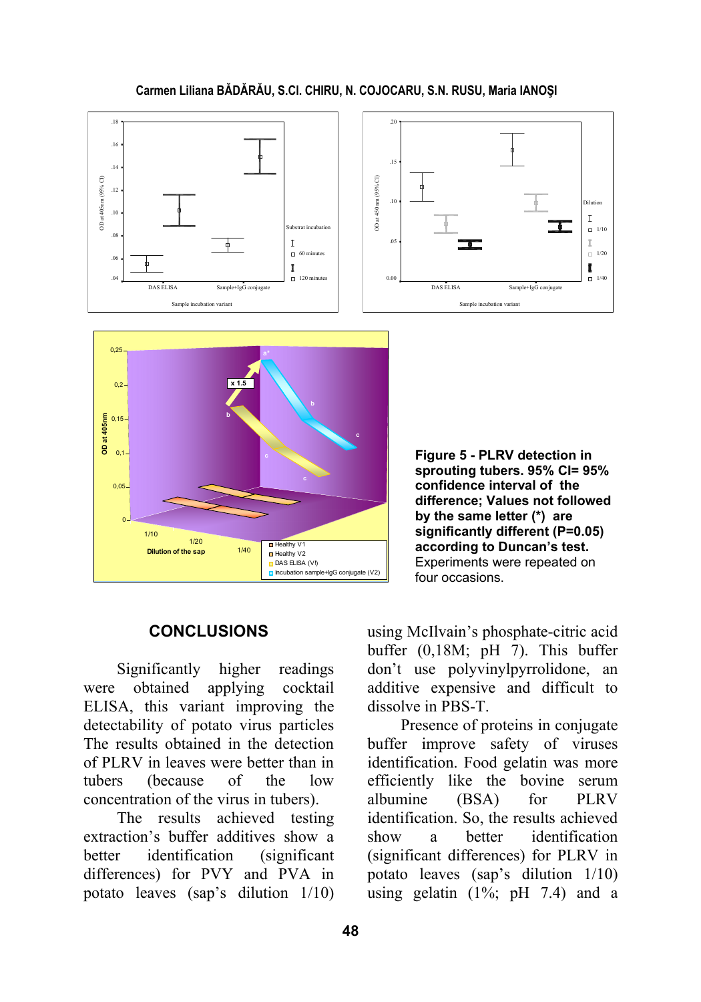



Sample incubation varian

**Figure 5 - PLRV detection in sprouting tubers. 95% CI= 95% confidence interval of the difference; Values not followed by the same letter (\*) are significantly different (P=0.05) according to Duncan's test.**  Experiments were repeated on four occasions.

Sample incubation variant

## **CONCLUSIONS**

Significantly higher readings were obtained applying cocktail ELISA, this variant improving the detectability of potato virus particles The results obtained in the detection of PLRV in leaves were better than in tubers (because of the low concentration of the virus in tubers).

The results achieved testing extraction's buffer additives show a better identification (significant differences) for PVY and PVA in potato leaves (sap's dilution 1/10) using McIlvain's phosphate-citric acid buffer (0,18M; pH 7). This buffer don't use polyvinylpyrrolidone, an additive expensive and difficult to dissolve in PBS-T.

Presence of proteins in conjugate buffer improve safety of viruses identification. Food gelatin was more efficiently like the bovine serum albumine (BSA) for PLRV identification. So, the results achieved show a better identification (significant differences) for PLRV in potato leaves (sap's dilution 1/10) using gelatin  $(1\%; pH 7.4)$  and a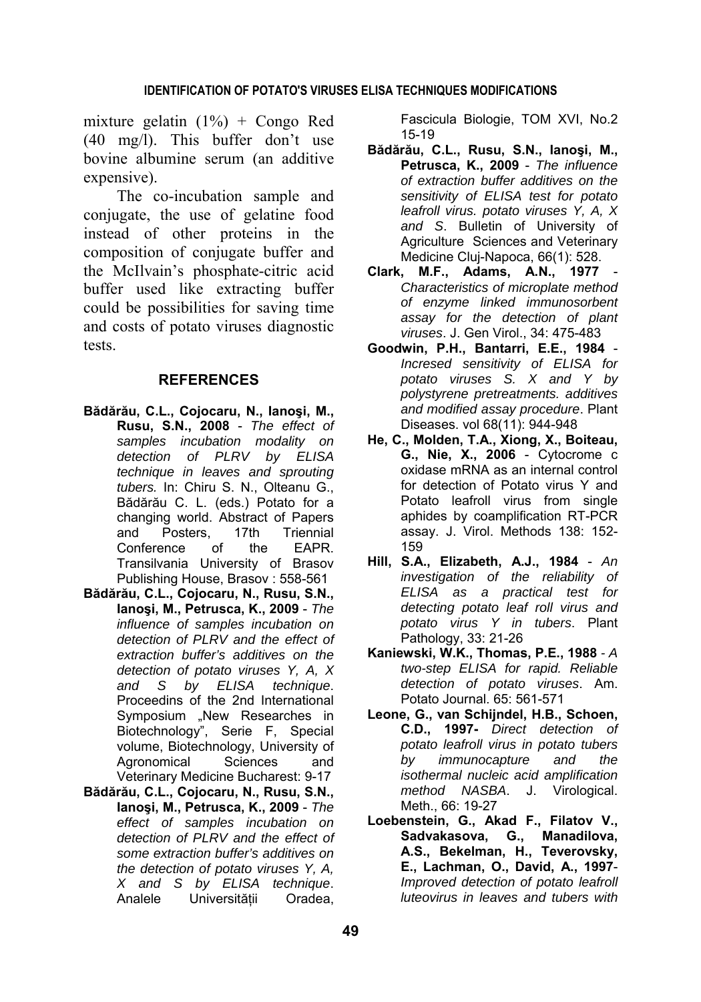mixture gelatin  $(1\%)$  + Congo Red (40 mg/l). This buffer don't use bovine albumine serum (an additive expensive).

The co-incubation sample and conjugate, the use of gelatine food instead of other proteins in the composition of conjugate buffer and the McIlvain's phosphate-citric acid buffer used like extracting buffer could be possibilities for saving time and costs of potato viruses diagnostic tests.

### **REFERENCES**

- **Bădărău, C.L., Cojocaru, N., Ianoşi, M., Rusu, S.N., 2008** - *The effect of samples incubation modality on detection of PLRV by ELISA technique in leaves and sprouting tubers.* In: Chiru S. N., Olteanu G., Bădărău C. L. (eds.) Potato for a changing world. Abstract of Papers and Posters, 17th Triennial Conference of the EAPR. Transilvania University of Brasov Publishing House, Brasov : 558-561
- **Bădărău, C.L., Cojocaru, N., Rusu, S.N., Ianoşi, M., Petrusca, K., 2009** - *The influence of samples incubation on detection of PLRV and the effect of extraction buffer's additives on the detection of potato viruses Y, A, X and S by ELISA technique*. Proceedins of the 2nd International Symposium "New Researches in Biotechnology", Serie F, Special volume, Biotechnology, University of Agronomical Sciences and Veterinary Medicine Bucharest: 9-17
- **Bădărău, C.L., Cojocaru, N., Rusu, S.N., Ianoşi, M., Petrusca, K., 2009** - *The effect of samples incubation on detection of PLRV and the effect of some extraction buffer's additives on the detection of potato viruses Y, A, X and S by ELISA technique*. Analele Universităţii Oradea,

Fascicula Biologie, TOM XVI, No.2 15-19

- **Bădărău, C.L., Rusu, S.N., Ianoşi, M., Petrusca, K., 2009** - *The influence of extraction buffer additives on the sensitivity of ELISA test for potato leafroll virus. potato viruses Y, A, X and S*. Bulletin of University of Agriculture Sciences and Veterinary Medicine Cluj-Napoca, 66(1): 528.
- **Clark, M.F., Adams, A.N., 1977** *Characteristics of microplate method of enzyme linked immunosorbent assay for the detection of plant viruses*. J. Gen Virol., 34: 475-483
- **Goodwin, P.H., Bantarri, E.E., 1984** *Incresed sensitivity of ELISA for potato viruses S. X and Y by polystyrene pretreatments. additives and modified assay procedure*. Plant Diseases. vol 68(11): 944-948
- **He, C., Molden, T.A., Xiong, X., Boiteau, G., Nie, X., 2006** - Cytocrome c oxidase mRNA as an internal control for detection of Potato virus Y and Potato leafroll virus from single aphides by coamplification RT-PCR assay. J. Virol. Methods 138: 152- 159
- **Hill, S.A., Elizabeth, A.J., 1984** *An investigation of the reliability of ELISA as a practical test for detecting potato leaf roll virus and potato virus Y in tubers*. Plant Pathology, 33: 21-26
- **Kaniewski, W.K., Thomas, P.E., 1988**  *A two-step ELISA for rapid. Reliable detection of potato viruses*. Am. Potato Journal. 65: 561-571
- **Leone, G., van Schijndel, H.B., Schoen, C.D., 1997-** *Direct detection of potato leafroll virus in potato tubers by immunocapture and the isothermal nucleic acid amplification method NASBA*. J. Virological. Meth., 66: 19-27
- **Loebenstein, G., Akad F., Filatov V., Sadvakasova, G., Manadilova, A.S., Bekelman, H., Teverovsky, E., Lachman, O., David, A., 1997**- *Improved detection of potato leafroll luteovirus in leaves and tubers with*